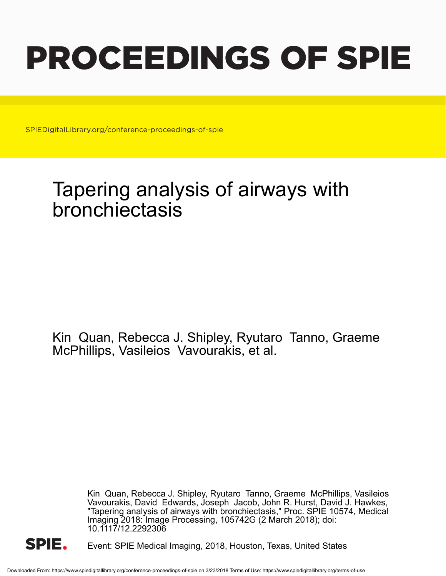# PROCEEDINGS OF SPIE

SPIEDigitalLibrary.org/conference-proceedings-of-spie

# Tapering analysis of airways with bronchiectasis

Kin Quan, Rebecca J. Shipley, Ryutaro Tanno, Graeme McPhillips, Vasileios Vavourakis, et al.

> Kin Quan, Rebecca J. Shipley, Ryutaro Tanno, Graeme McPhillips, Vasileios Vavourakis, David Edwards, Joseph Jacob, John R. Hurst, David J. Hawkes, "Tapering analysis of airways with bronchiectasis," Proc. SPIE 10574, Medical Imaging 2018: Image Processing, 105742G (2 March 2018), doi: 10.1117/12.2292306



Event: SPIE Medical Imaging, 2018, Houston, Texas, United States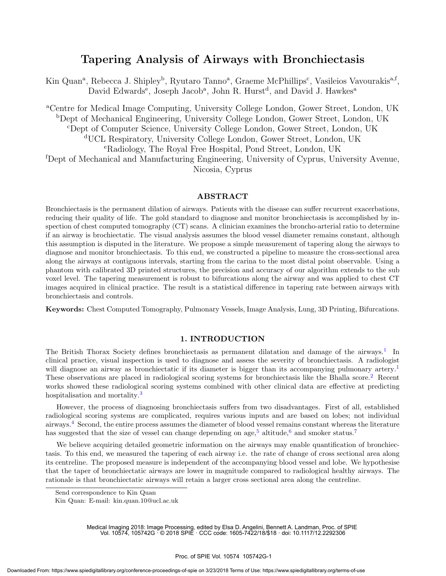## Tapering Analysis of Airways with Bronchiectasis

Kin Quan<sup>a</sup>, Rebecca J. Shipley<sup>b</sup>, Ryutaro Tanno<sup>a</sup>, Graeme McPhillips<sup>c</sup>, Vasileios Vavourakis<sup>a, f</sup>, David Edwards<sup>e</sup>, Joseph Jacob<sup>a</sup>, John R. Hurst<sup>d</sup>, and David J. Hawkes<sup>a</sup>

<sup>a</sup>Centre for Medical Image Computing, University College London, Gower Street, London, UK <sup>b</sup>Dept of Mechanical Engineering, University College London, Gower Street, London, UK <sup>c</sup>Dept of Computer Science, University College London, Gower Street, London, UK <sup>d</sup>UCL Respiratory, University College London, Gower Street, London, UK <sup>e</sup>Radiology, The Royal Free Hospital, Pond Street, London, UK <sup>f</sup>Dept of Mechanical and Manufacturing Engineering, University of Cyprus, University Avenue, Nicosia, Cyprus

#### ABSTRACT

Bronchiectasis is the permanent dilation of airways. Patients with the disease can suffer recurrent exacerbations, reducing their quality of life. The gold standard to diagnose and monitor bronchiectasis is accomplished by inspection of chest computed tomography (CT) scans. A clinician examines the broncho-arterial ratio to determine if an airway is brochiectatic. The visual analysis assumes the blood vessel diameter remains constant, although this assumption is disputed in the literature. We propose a simple measurement of tapering along the airways to diagnose and monitor bronchiectasis. To this end, we constructed a pipeline to measure the cross-sectional area along the airways at contiguous intervals, starting from the carina to the most distal point observable. Using a phantom with calibrated 3D printed structures, the precision and accuracy of our algorithm extends to the sub voxel level. The tapering measurement is robust to bifurcations along the airway and was applied to chest CT images acquired in clinical practice. The result is a statistical difference in tapering rate between airways with bronchiectasis and controls.

Keywords: Chest Computed Tomography, Pulmonary Vessels, Image Analysis, Lung, 3D Printing, Bifurcations.

#### 1. INTRODUCTION

The British Thorax Society defines bronchiectasis as permanent dilatation and damage of the airways.<sup>1</sup> In clinical practice, visual inspection is used to diagnose and assess the severity of bronchiectasis. A radiologist will diagnose an airway as bronchiectatic if its diameter is bigger than its accompanying pulmonary artery.<sup>1</sup> These observations are placed in radiological scoring systems for bronchiectasis like the Bhalla score.<sup>2</sup> Recent works showed these radiological scoring systems combined with other clinical data are effective at predicting hospitalisation and mortality.<sup>3</sup>

However, the process of diagnosing bronchiectasis suffers from two disadvantages. First of all, established radiological scoring systems are complicated, requires various inputs and are based on lobes; not individual airways.<sup>4</sup> Second, the entire process assumes the diameter of blood vessel remains constant whereas the literature has suggested that the size of vessel can change depending on age,<sup>5</sup> altitude,<sup>6</sup> and smoker status.<sup>7</sup>

We believe acquiring detailed geometric information on the airways may enable quantification of bronchiectasis. To this end, we measured the tapering of each airway i.e. the rate of change of cross sectional area along its centreline. The proposed measure is independent of the accompanying blood vessel and lobe. We hypothesise that the taper of bronchiectatic airways are lower in magnitude compared to radiological healthy airways. The rationale is that bronchiectatic airways will retain a larger cross sectional area along the centreline.

Medical Imaging 2018: Image Processing, edited by Elsa D. Angelini, Bennett A. Landman, Proc. of SPIE Vol. 10574, 105742G · © 2018 SPIE · CCC code: 1605-7422/18/\$18 · doi: 10.1117/12.2292306

Send correspondence to Kin Quan

Kin Quan: E-mail: kin.quan.10@ucl.ac.uk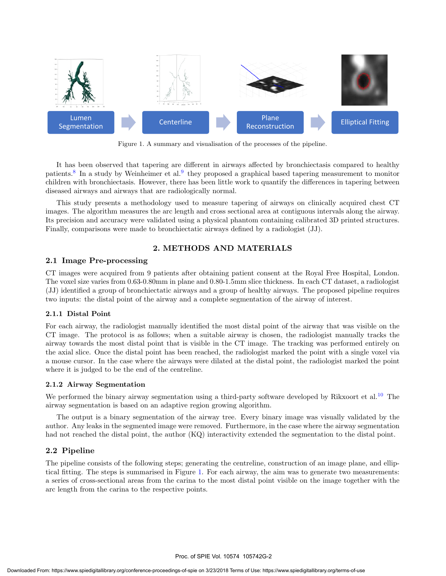

Figure 1. A summary and visualisation of the processes of the pipeline.

It has been observed that tapering are different in airways affected by bronchiectasis compared to healthy patients.<sup>8</sup> In a study by Weinheimer et al.<sup>9</sup> they proposed a graphical based tapering measurement to monitor children with bronchiectasis. However, there has been little work to quantify the differences in tapering between diseased airways and airways that are radiologically normal.

This study presents a methodology used to measure tapering of airways on clinically acquired chest CT images. The algorithm measures the arc length and cross sectional area at contiguous intervals along the airway. Its precision and accuracy were validated using a physical phantom containing calibrated 3D printed structures. Finally, comparisons were made to bronchiectatic airways defined by a radiologist (JJ).

### 2. METHODS AND MATERIALS

#### 2.1 Image Pre-processing

CT images were acquired from 9 patients after obtaining patient consent at the Royal Free Hospital, London. The voxel size varies from 0.63-0.80mm in plane and 0.80-1.5mm slice thickness. In each CT dataset, a radiologist (JJ) identified a group of bronchiectatic airways and a group of healthy airways. The proposed pipeline requires two inputs: the distal point of the airway and a complete segmentation of the airway of interest.

#### 2.1.1 Distal Point

For each airway, the radiologist manually identified the most distal point of the airway that was visible on the CT image. The protocol is as follows; when a suitable airway is chosen, the radiologist manually tracks the airway towards the most distal point that is visible in the CT image. The tracking was performed entirely on the axial slice. Once the distal point has been reached, the radiologist marked the point with a single voxel via a mouse cursor. In the case where the airways were dilated at the distal point, the radiologist marked the point where it is judged to be the end of the centreline.

#### 2.1.2 Airway Segmentation

We performed the binary airway segmentation using a third-party software developed by Rikxoort et al.<sup>10</sup> The airway segmentation is based on an adaptive region growing algorithm.

The output is a binary segmentation of the airway tree. Every binary image was visually validated by the author. Any leaks in the segmented image were removed. Furthermore, in the case where the airway segmentation had not reached the distal point, the author (KQ) interactivity extended the segmentation to the distal point.

#### 2.2 Pipeline

The pipeline consists of the following steps; generating the centreline, construction of an image plane, and elliptical fitting. The steps is summarised in Figure 1. For each airway, the aim was to generate two measurements: a series of cross-sectional areas from the carina to the most distal point visible on the image together with the arc length from the carina to the respective points.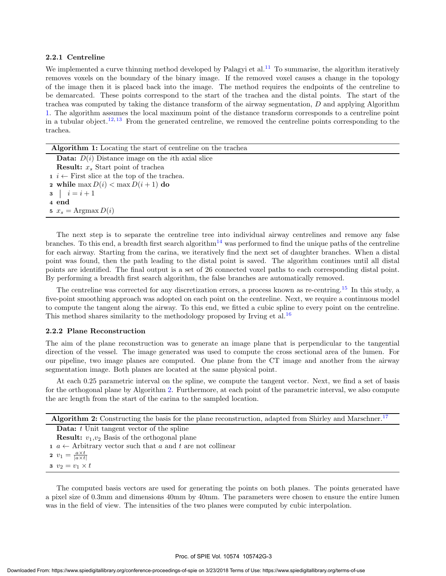#### 2.2.1 Centreline

We implemented a curve thinning method developed by Palagyi et al.<sup>11</sup> To summarise, the algorithm iteratively removes voxels on the boundary of the binary image. If the removed voxel causes a change in the topology of the image then it is placed back into the image. The method requires the endpoints of the centreline to be demarcated. These points correspond to the start of the trachea and the distal points. The start of the trachea was computed by taking the distance transform of the airway segmentation, D and applying Algorithm 1. The algorithm assumes the local maximum point of the distance transform corresponds to a centreline point in a tubular object.12, <sup>13</sup> From the generated centreline, we removed the centreline points corresponding to the trachea.

| Algorithm 1: Locating the start of centreline on the trachea      |  |  |  |  |
|-------------------------------------------------------------------|--|--|--|--|
| <b>Data:</b> $D(i)$ Distance image on the <i>i</i> th axial slice |  |  |  |  |
| <b>Result:</b> $x_s$ Start point of trachea                       |  |  |  |  |
| $i \leftarrow$ First slice at the top of the trachea.             |  |  |  |  |
| 2 while max $D(i) < \max D(i+1)$ do                               |  |  |  |  |
| <b>3</b> $i = i + 1$                                              |  |  |  |  |
| 4 end                                                             |  |  |  |  |
| 5 $x_s = \text{Argmax } D(i)$                                     |  |  |  |  |
|                                                                   |  |  |  |  |

The next step is to separate the centreline tree into individual airway centrelines and remove any false branches. To this end, a breadth first search algorithm<sup>14</sup> was performed to find the unique paths of the centreline for each airway. Starting from the carina, we iteratively find the next set of daughter branches. When a distal point was found, then the path leading to the distal point is saved. The algorithm continues until all distal points are identified. The final output is a set of 26 connected voxel paths to each corresponding distal point. By performing a breadth first search algorithm, the false branches are automatically removed.

The centreline was corrected for any discretization errors, a process known as re-centring.<sup>15</sup> In this study, a five-point smoothing approach was adopted on each point on the centreline. Next, we require a continuous model to compute the tangent along the airway. To this end, we fitted a cubic spline to every point on the centreline. This method shares similarity to the methodology proposed by Irving et al.<sup>16</sup>

#### 2.2.2 Plane Reconstruction

The aim of the plane reconstruction was to generate an image plane that is perpendicular to the tangential direction of the vessel. The image generated was used to compute the cross sectional area of the lumen. For our pipeline, two image planes are computed. One plane from the CT image and another from the airway segmentation image. Both planes are located at the same physical point.

At each 0.25 parametric interval on the spline, we compute the tangent vector. Next, we find a set of basis for the orthogonal plane by Algorithm 2. Furthermore, at each point of the parametric interval, we also compute the arc length from the start of the carina to the sampled location.

|  | Algorithm 2: Constructing the basis for the plane reconstruction, adapted from Shirley and Marschner. <sup>17</sup> |  |
|--|---------------------------------------------------------------------------------------------------------------------|--|
|  |                                                                                                                     |  |

**Data:**  $t$  Unit tangent vector of the spline

**Result:**  $v_1, v_2$  Basis of the orthogonal plane

1  $a \leftarrow$  Arbitrary vector such that a and t are not collinear

2  $v_1 = \frac{a \times t}{|a \times t|}$ 

3  $v_2 = v_1 \times t$ 

The computed basis vectors are used for generating the points on both planes. The points generated have a pixel size of 0.3mm and dimensions 40mm by 40mm. The parameters were chosen to ensure the entire lumen was in the field of view. The intensities of the two planes were computed by cubic interpolation.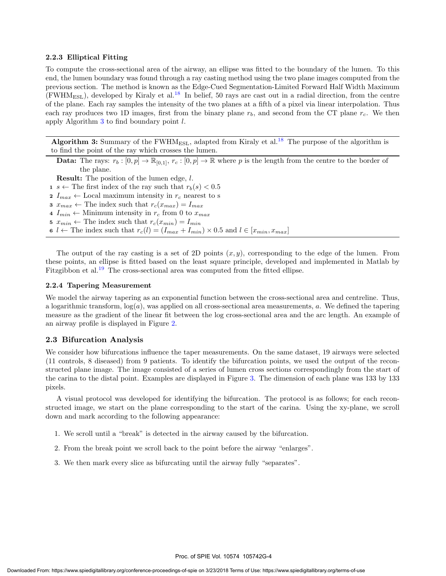#### 2.2.3 Elliptical Fitting

To compute the cross-sectional area of the airway, an ellipse was fitted to the boundary of the lumen. To this end, the lumen boundary was found through a ray casting method using the two plane images computed from the previous section. The method is known as the Edge-Cued Segmentation-Limited Forward Half Width Maximum  $(FWHM<sub>ESL</sub>)$ , developed by Kiraly et al.<sup>18</sup> In belief, 50 rays are cast out in a radial direction, from the centre of the plane. Each ray samples the intensity of the two planes at a fifth of a pixel via linear interpolation. Thus each ray produces two 1D images, first from the binary plane  $r<sub>b</sub>$ , and second from the CT plane  $r<sub>c</sub>$ . We then apply Algorithm  $3$  to find boundary point  $l$ .

Algorithm 3: Summary of the FWHM<sub>ESL</sub>, adapted from Kiraly et al.<sup>18</sup> The purpose of the algorithm is to find the point of the ray which crosses the lumen.

**Data:** The rays:  $r_b : [0, p] \to \mathbb{R}_{[0, 1]}, r_c : [0, p] \to \mathbb{R}$  where p is the length from the centre to the border of the plane.

Result: The position of the lumen edge, l.

1 s  $\leftarrow$  The first index of the ray such that  $r_b(s) < 0.5$ 

2  $I_{max} \leftarrow$  Local maximum intensity in  $r_c$  nearest to s

3  $x_{max} \leftarrow$  The index such that  $r_c(x_{max}) = I_{max}$ 

4  $I_{min} \leftarrow$  Minimum intensity in  $r_c$  from 0 to  $x_{max}$ 

5  $x_{min} \leftarrow$  The index such that  $r_c(x_{min}) = I_{min}$ 

6  $l \leftarrow$  The index such that  $r_c(l) = (I_{max} + I_{min}) \times 0.5$  and  $l \in [x_{min}, x_{max}]$ 

The output of the ray casting is a set of 2D points  $(x, y)$ , corresponding to the edge of the lumen. From these points, an ellipse is fitted based on the least square principle, developed and implemented in Matlab by Fitzgibbon et al.<sup>19</sup> The cross-sectional area was computed from the fitted ellipse.

#### 2.2.4 Tapering Measurement

We model the airway tapering as an exponential function between the cross-sectional area and centreline. Thus, a logarithmic transform,  $log(a)$ , was applied on all cross-sectional area measurements, a. We defined the tapering measure as the gradient of the linear fit between the log cross-sectional area and the arc length. An example of an airway profile is displayed in Figure 2.

#### 2.3 Bifurcation Analysis

We consider how bifurcations influence the taper measurements. On the same dataset, 19 airways were selected (11 controls, 8 diseased) from 9 patients. To identify the bifurcation points, we used the output of the reconstructed plane image. The image consisted of a series of lumen cross sections correspondingly from the start of the carina to the distal point. Examples are displayed in Figure 3. The dimension of each plane was 133 by 133 pixels.

A visual protocol was developed for identifying the bifurcation. The protocol is as follows; for each reconstructed image, we start on the plane corresponding to the start of the carina. Using the xy-plane, we scroll down and mark according to the following appearance:

- 1. We scroll until a "break" is detected in the airway caused by the bifurcation.
- 2. From the break point we scroll back to the point before the airway "enlarges".
- 3. We then mark every slice as bifurcating until the airway fully "separates".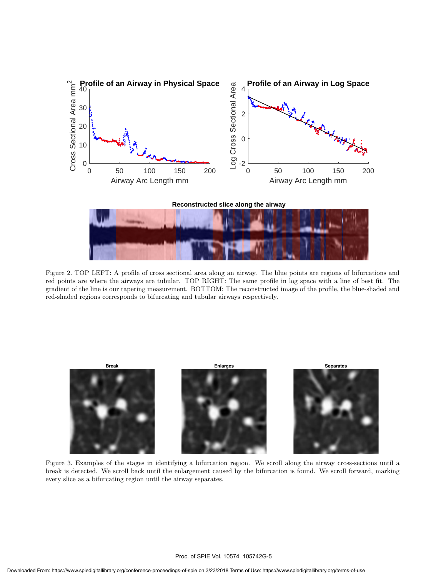



Figure 2. TOP LEFT: A profile of cross sectional area along an airway. The blue points are regions of bifurcations and red points are where the airways are tubular. TOP RIGHT: The same profile in log space with a line of best fit. The gradient of the line is our tapering measurement. BOTTOM: The reconstructed image of the profile, the blue-shaded and red-shaded regions corresponds to bifurcating and tubular airways respectively.



Figure 3. Examples of the stages in identifying a bifurcation region. We scroll along the airway cross-sections until a break is detected. We scroll back until the enlargement caused by the bifurcation is found. We scroll forward, marking every slice as a bifurcating region until the airway separates.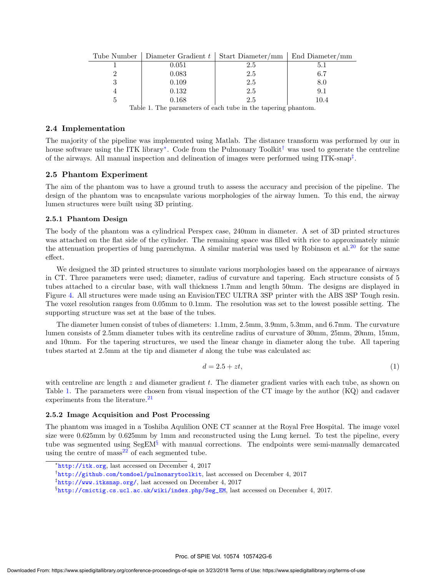| Tube Number   Diameter Gradient $t$   Start Diameter/mm   End Diameter/mm |     |      |
|---------------------------------------------------------------------------|-----|------|
| 0.051                                                                     | 2.5 |      |
| 0.083                                                                     | 2.5 | 6.7  |
| 0.109                                                                     | 2.5 | 8.0  |
| 0.132                                                                     | 2.5 | 9.1  |
| 0.168                                                                     | 2.5 | 10.4 |

Table 1. The parameters of each tube in the tapering phantom.

#### 2.4 Implementation

The majority of the pipeline was implemented using Matlab. The distance transform was performed by our in house software using the ITK library<sup>∗</sup> . Code from the Pulmonary Toolkit† was used to generate the centreline of the airways. All manual inspection and delineation of images were performed using ITK-snap‡ .

#### 2.5 Phantom Experiment

The aim of the phantom was to have a ground truth to assess the accuracy and precision of the pipeline. The design of the phantom was to encapsulate various morphologies of the airway lumen. To this end, the airway lumen structures were built using 3D printing.

#### 2.5.1 Phantom Design

The body of the phantom was a cylindrical Perspex case, 240mm in diameter. A set of 3D printed structures was attached on the flat side of the cylinder. The remaining space was filled with rice to approximately mimic the attenuation properties of lung parenchyma. A similar material was used by Robinson et al.<sup>20</sup> for the same effect.

We designed the 3D printed structures to simulate various morphologies based on the appearance of airways in CT. Three parameters were used; diameter, radius of curvature and tapering. Each structure consists of 5 tubes attached to a circular base, with wall thickness 1.7mm and length 50mm. The designs are displayed in Figure 4. All structures were made using an EnvisionTEC ULTRA 3SP printer with the ABS 3SP Tough resin. The voxel resolution ranges from 0.05mm to 0.1mm. The resolution was set to the lowest possible setting. The supporting structure was set at the base of the tubes.

The diameter lumen consist of tubes of diameters: 1.1mm, 2.5mm, 3.9mm, 5.3mm, and 6.7mm. The curvature lumen consists of 2.5mm diameter tubes with its centreline radius of curvature of 30mm, 25mm, 20mm, 15mm, and 10mm. For the tapering structures, we used the linear change in diameter along the tube. All tapering tubes started at 2.5mm at the tip and diameter d along the tube was calculated as:

$$
d = 2.5 + zt,\tag{1}
$$

with centreline arc length  $z$  and diameter gradient  $t$ . The diameter gradient varies with each tube, as shown on Table 1. The parameters were chosen from visual inspection of the CT image by the author (KQ) and cadaver experiments from the literature. $21$ 

#### 2.5.2 Image Acquisition and Post Processing

The phantom was imaged in a Toshiba Aqulilion ONE CT scanner at the Royal Free Hospital. The image voxel size were 0.625mm by 0.625mm by 1mm and reconstructed using the Lung kernel. To test the pipeline, every tube was segmented using  $\text{SegEM}^{\S}$  with manual corrections. The endpoints were semi-manually demarcated using the centre of  $mass<sup>22</sup>$  of each segmented tube.

<sup>∗</sup> http://itk.org, last accessed on December 4, 2017

<sup>†</sup> http://github.com/tomdoel/pulmonarytoolkit, last accessed on December 4, 2017

<sup>‡</sup> http://www.itksnap.org/, last accessed on December 4, 2017

 $%$ http:// $cm$ ictig.cs.ucl.ac.uk/wiki/index.php/Seg\_EM, last accessed on December 4, 2017.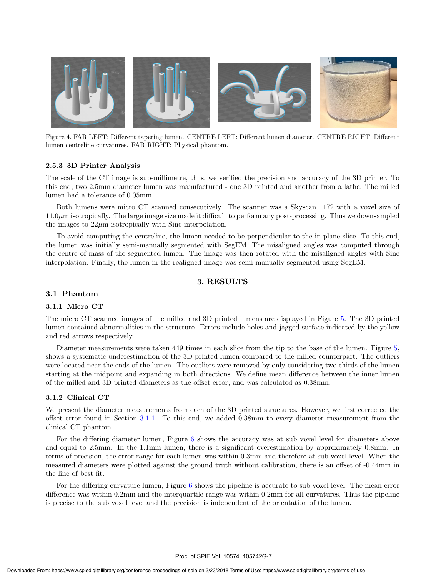

Figure 4. FAR LEFT: Different tapering lumen. CENTRE LEFT: Different lumen diameter. CENTRE RIGHT: Different lumen centreline curvatures. FAR RIGHT: Physical phantom.

#### 2.5.3 3D Printer Analysis

The scale of the CT image is sub-millimetre, thus, we verified the precision and accuracy of the 3D printer. To this end, two 2.5mm diameter lumen was manufactured - one 3D printed and another from a lathe. The milled lumen had a tolerance of 0.05mm.

Both lumens were micro CT scanned consecutively. The scanner was a Skyscan 1172 with a voxel size of 11.0µm isotropically. The large image size made it difficult to perform any post-processing. Thus we downsampled the images to  $22\mu$ m isotropically with Sinc interpolation.

To avoid computing the centreline, the lumen needed to be perpendicular to the in-plane slice. To this end, the lumen was initially semi-manually segmented with SegEM. The misaligned angles was computed through the centre of mass of the segmented lumen. The image was then rotated with the misaligned angles with Sinc interpolation. Finally, the lumen in the realigned image was semi-manually segmented using SegEM.

#### 3. RESULTS

#### 3.1 Phantom

#### 3.1.1 Micro CT

The micro CT scanned images of the milled and 3D printed lumens are displayed in Figure 5. The 3D printed lumen contained abnormalities in the structure. Errors include holes and jagged surface indicated by the yellow and red arrows respectively.

Diameter measurements were taken 449 times in each slice from the tip to the base of the lumen. Figure 5, shows a systematic underestimation of the 3D printed lumen compared to the milled counterpart. The outliers were located near the ends of the lumen. The outliers were removed by only considering two-thirds of the lumen starting at the midpoint and expanding in both directions. We define mean difference between the inner lumen of the milled and 3D printed diameters as the offset error, and was calculated as 0.38mm.

#### 3.1.2 Clinical CT

We present the diameter measurements from each of the 3D printed structures. However, we first corrected the offset error found in Section 3.1.1. To this end, we added 0.38mm to every diameter measurement from the clinical CT phantom.

For the differing diameter lumen, Figure 6 shows the accuracy was at sub voxel level for diameters above and equal to 2.5mm. In the 1.1mm lumen, there is a significant overestimation by approximately 0.8mm. In terms of precision, the error range for each lumen was within 0.3mm and therefore at sub voxel level. When the measured diameters were plotted against the ground truth without calibration, there is an offset of -0.44mm in the line of best fit.

For the differing curvature lumen, Figure 6 shows the pipeline is accurate to sub voxel level. The mean error difference was within 0.2mm and the interquartile range was within 0.2mm for all curvatures. Thus the pipeline is precise to the sub voxel level and the precision is independent of the orientation of the lumen.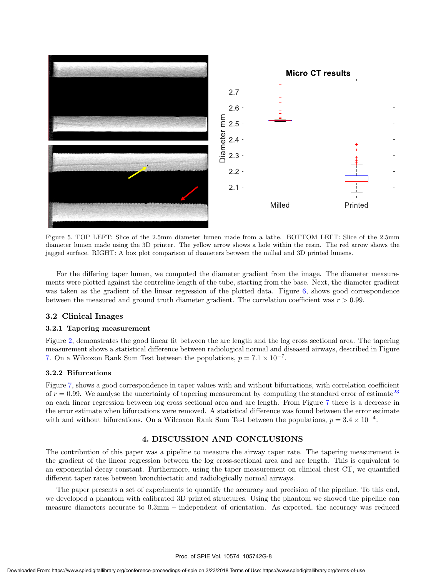

Figure 5. TOP LEFT: Slice of the 2.5mm diameter lumen made from a lathe. BOTTOM LEFT: Slice of the 2.5mm diameter lumen made using the 3D printer. The yellow arrow shows a hole within the resin. The red arrow shows the jagged surface. RIGHT: A box plot comparison of diameters between the milled and 3D printed lumens.

For the differing taper lumen, we computed the diameter gradient from the image. The diameter measurements were plotted against the centreline length of the tube, starting from the base. Next, the diameter gradient was taken as the gradient of the linear regression of the plotted data. Figure 6, shows good correspondence between the measured and ground truth diameter gradient. The correlation coefficient was  $r > 0.99$ .

#### 3.2 Clinical Images

#### 3.2.1 Tapering measurement

Figure 2, demonstrates the good linear fit between the arc length and the log cross sectional area. The tapering measurement shows a statistical difference between radiological normal and diseased airways, described in Figure 7. On a Wilcoxon Rank Sum Test between the populations,  $p = 7.1 \times 10^{-7}$ .

#### 3.2.2 Bifurcations

Figure 7, shows a good correspondence in taper values with and without bifurcations, with correlation coefficient of  $r = 0.99$ . We analyse the uncertainty of tapering measurement by computing the standard error of estimate<sup>23</sup> on each linear regression between log cross sectional area and arc length. From Figure 7 there is a decrease in the error estimate when bifurcations were removed. A statistical difference was found between the error estimate with and without bifurcations. On a Wilcoxon Rank Sum Test between the populations,  $p = 3.4 \times 10^{-4}$ .

#### 4. DISCUSSION AND CONCLUSIONS

The contribution of this paper was a pipeline to measure the airway taper rate. The tapering measurement is the gradient of the linear regression between the log cross-sectional area and arc length. This is equivalent to an exponential decay constant. Furthermore, using the taper measurement on clinical chest CT, we quantified different taper rates between bronchiectatic and radiologically normal airways.

The paper presents a set of experiments to quantify the accuracy and precision of the pipeline. To this end, we developed a phantom with calibrated 3D printed structures. Using the phantom we showed the pipeline can measure diameters accurate to 0.3mm – independent of orientation. As expected, the accuracy was reduced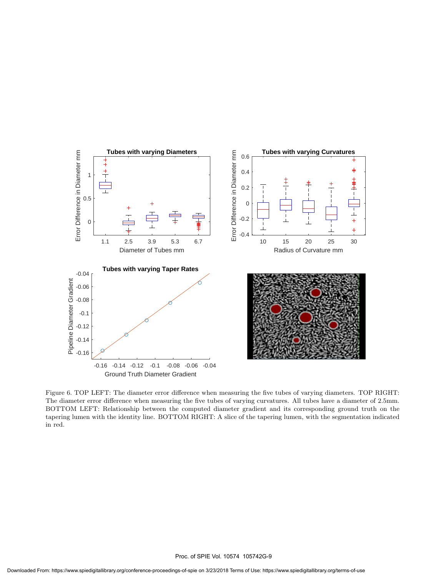

Figure 6. TOP LEFT: The diameter error difference when measuring the five tubes of varying diameters. TOP RIGHT: The diameter error difference when measuring the five tubes of varying curvatures. All tubes have a diameter of 2.5mm. BOTTOM LEFT: Relationship between the computed diameter gradient and its corresponding ground truth on the tapering lumen with the identity line. BOTTOM RIGHT: A slice of the tapering lumen, with the segmentation indicated in red.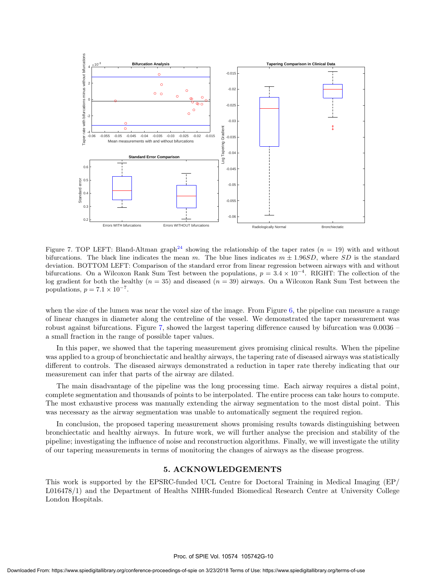

Figure 7. TOP LEFT: Bland-Altman graph<sup>24</sup> showing the relationship of the taper rates  $(n = 19)$  with and without bifurcations. The black line indicates the mean m. The blue lines indicates  $m \pm 1.96SD$ , where SD is the standard deviation. BOTTOM LEFT: Comparison of the standard error from linear regression between airways with and without bifurcations. On a Wilcoxon Rank Sum Test between the populations,  $p = 3.4 \times 10^{-4}$ . RIGHT: The collection of the log gradient for both the healthy  $(n = 35)$  and diseased  $(n = 39)$  airways. On a Wilcoxon Rank Sum Test between the populations,  $p = 7.1 \times 10^{-7}$ .

when the size of the lumen was near the voxel size of the image. From Figure 6, the pipeline can measure a range of linear changes in diameter along the centreline of the vessel. We demonstrated the taper measurement was robust against bifurcations. Figure 7, showed the largest tapering difference caused by bifurcation was 0.0036 – a small fraction in the range of possible taper values.

In this paper, we showed that the tapering measurement gives promising clinical results. When the pipeline was applied to a group of bronchiectatic and healthy airways, the tapering rate of diseased airways was statistically different to controls. The diseased airways demonstrated a reduction in taper rate thereby indicating that our measurement can infer that parts of the airway are dilated.

The main disadvantage of the pipeline was the long processing time. Each airway requires a distal point, complete segmentation and thousands of points to be interpolated. The entire process can take hours to compute. The most exhaustive process was manually extending the airway segmentation to the most distal point. This was necessary as the airway segmentation was unable to automatically segment the required region.

In conclusion, the proposed tapering measurement shows promising results towards distinguishing between bronchiectatic and healthy airways. In future work, we will further analyse the precision and stability of the pipeline; investigating the influence of noise and reconstruction algorithms. Finally, we will investigate the utility of our tapering measurements in terms of monitoring the changes of airways as the disease progress.

#### 5. ACKNOWLEDGEMENTS

This work is supported by the EPSRC-funded UCL Centre for Doctoral Training in Medical Imaging (EP/ L016478/1) and the Department of Healths NIHR-funded Biomedical Research Centre at University College London Hospitals.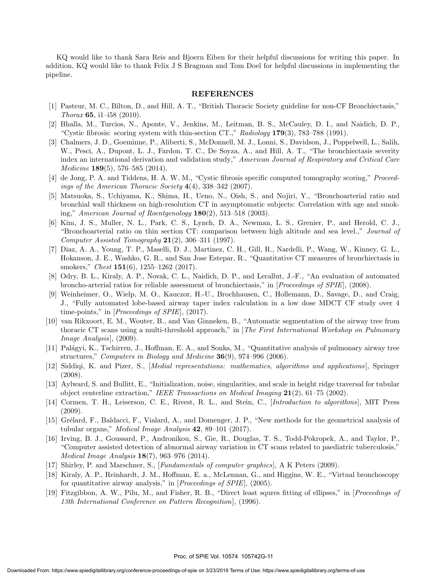KQ would like to thank Sara Reis and Bjoern Eiben for their helpful discussions for writing this paper. In addition, KQ would like to thank Felix J S Bragman and Tom Doel for helpful discussions in implementing the pipeline.

#### REFERENCES

- [1] Pasteur, M. C., Bilton, D., and Hill, A. T., "British Thoracic Society guideline for non-CF Bronchiectasis," Thorax 65, i1–i58  $(2010)$ .
- [2] Bhalla, M., Turcios, N., Aponte, V., Jenkins, M., Leitman, B. S., McCauley, D. I., and Naidich, D. P., "Cystic fibrosis: scoring system with thin-section CT.," Radiology 179(3), 783–788 (1991).
- [3] Chalmers, J. D., Goeminne, P., Aliberti, S., McDonnell, M. J., Lonni, S., Davidson, J., Poppelwell, L., Salih, W., Pesci, A., Dupont, L. J., Fardon, T. C., De Soyza, A., and Hill, A. T., "The bronchiectasis severity index an international derivation and validation study," American Journal of Respiratory and Critical Care *Medicine* **189**(5), 576–585 (2014).
- [4] de Jong, P. A. and Tiddens, H. A. W. M., "Cystic fibrosis specific computed tomography scoring," Proceedings of the American Thoracic Society 4(4), 338–342 (2007).
- [5] Matsuoka, S., Uchiyama, K., Shima, H., Ueno, N., Oish, S., and Nojiri, Y., "Bronchoarterial ratio and bronchial wall thickness on high-resolution CT in asymptomatic subjects: Correlation with age and smoking," American Journal of Roentgenology  $180(2)$ , 513–518 (2003).
- [6] Kim, J. S., Muller, N. L., Park, C. S., Lynch, D. A., Newman, L. S., Grenier, P., and Herold, C. J., "Bronchoarterial ratio on thin section CT: comparison between high altitude and sea level.," Journal of Computer Assisted Tomography 21(2), 306–311 (1997).
- [7] Diaz, A. A., Young, T. P., Maselli, D. J., Martinez, C. H., Gill, R., Nardelli, P., Wang, W., Kinney, G. L., Hokanson, J. E., Washko, G. R., and San Jose Estepar, R., "Quantitative CT measures of bronchiectasis in smokers," *Chest* **151**(6), 1255–1262 (2017).
- [8] Odry, B. L., Kiraly, A. P., Novak, C. L., Naidich, D. P., and Lerallut, J.-F., "An evaluation of automated broncho-arterial ratios for reliable assessment of bronchiectasis," in [Proceedings of SPIE], (2008).
- [9] Weinheimer, O., Wielp, M. O., Kauczor, H.-U., Brochhausen, C., Hollemann, D., Savage, D., and Craig, J., "Fully automated lobe-based airway taper index calculation in a low dose MDCT CF study over 4 time-points," in [*Proceedings of SPIE*], (2017).
- [10] van Rikxoort, E. M., Wouter, B., and Van Ginneken, B., "Automatic segmentation of the airway tree from thoracic CT scans using a multi-threshold approach," in [The First International Workshop on Pulmonary  $Image Analysis$ , (2009).
- [11] Pal´agyi, K., Tschirren, J., Hoffman, E. A., and Sonka, M., "Quantitative analysis of pulmonary airway tree structures," Computers in Biology and Medicine  $36(9)$ , 974–996 (2006).
- [12] Siddiqi, K. and Pizer, S., *[Medial representations: mathematics, algorithms and applications*], Springer (2008).
- [13] Aylward, S. and Bullitt, E., "Initialization, noise, singularities, and scale in height ridge traversal for tubular object centerline extraction," IEEE Transactions on Medical Imaging 21(2), 61–75 (2002).
- [14] Cormen, T. H., Leiserson, C. E., Rivest, R. L., and Stein, C., [Introduction to algorithms], MIT Press (2009).
- [15] Grélard, F., Baldacci, F., Vialard, A., and Domenger, J. P., "New methods for the geometrical analysis of tubular organs," *Medical Image Analysis*  $42$ ,  $89-101$  (2017).
- [16] Irving, B. J., Goussard, P., Andronikou, S., Gie, R., Douglas, T. S., Todd-Pokropek, A., and Taylor, P., "Computer assisted detection of abnormal airway variation in CT scans related to paediatric tuberculosis," Medical Image Analysis 18(7), 963–976 (2014).
- [17] Shirley, P. and Marschner, S., [Fundamentals of computer graphics ], A K Peters (2009).
- [18] Kiraly, A. P., Reinhardt, J. M., Hoffman, E. a., McLennan, G., and Higgins, W. E., "Virtual bronchoscopy for quantitative airway analysis," in [*Proceedings of SPIE*], (2005).
- [19] Fitzgibbon, A. W., Pilu, M., and Fisher, R. B., "Direct least squres fitting of ellipses," in [Proceedings of 13th International Conference on Pattern Recognition], (1996).